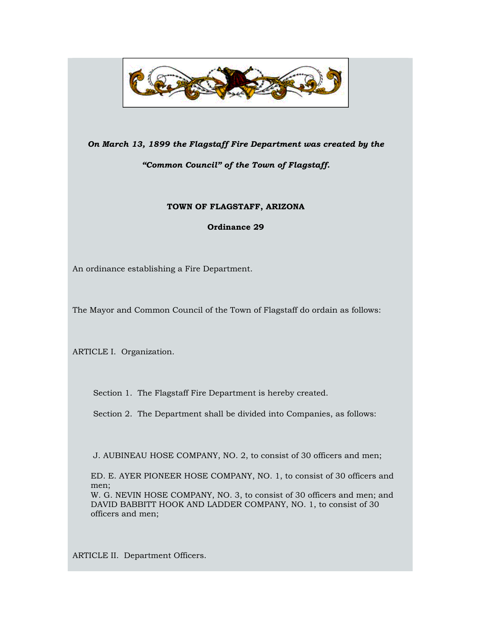

### *On March 13, 1899 the Flagstaff Fire Department was created by the*

# *"Common Council" of the Town of Flagstaff.*

## **TOWN OF FLAGSTAFF, ARIZONA**

**Ordinance 29**

An ordinance establishing a Fire Department.

The Mayor and Common Council of the Town of Flagstaff do ordain as follows:

ARTICLE I. Organization.

Section 1. The Flagstaff Fire Department is hereby created.

Section 2. The Department shall be divided into Companies, as follows:

J. AUBINEAU HOSE COMPANY, NO. 2, to consist of 30 officers and men;

ED. E. AYER PIONEER HOSE COMPANY, NO. 1, to consist of 30 officers and men;

W. G. NEVIN HOSE COMPANY, NO. 3, to consist of 30 officers and men; and DAVID BABBITT HOOK AND LADDER COMPANY, NO. 1, to consist of 30 officers and men;

ARTICLE II. Department Officers.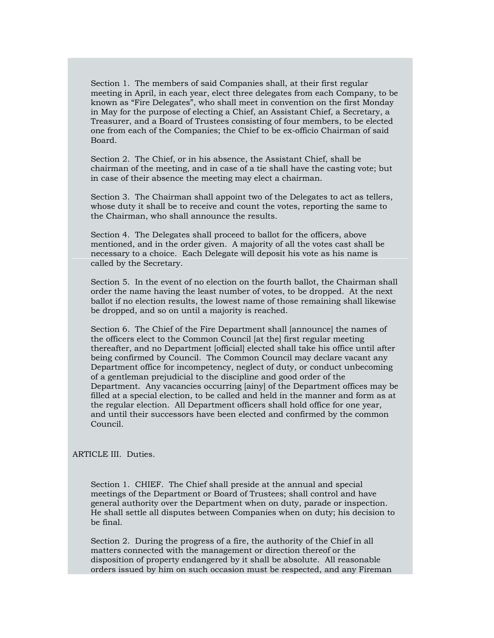Section 1. The members of said Companies shall, at their first regular meeting in April, in each year, elect three delegates from each Company, to be known as "Fire Delegates", who shall meet in convention on the first Monday in May for the purpose of electing a Chief, an Assistant Chief, a Secretary, a Treasurer, and a Board of Trustees consisting of four members, to be elected one from each of the Companies; the Chief to be ex-officio Chairman of said Board.

Section 2. The Chief, or in his absence, the Assistant Chief, shall be chairman of the meeting, and in case of a tie shall have the casting vote; but in case of their absence the meeting may elect a chairman.

Section 3. The Chairman shall appoint two of the Delegates to act as tellers, whose duty it shall be to receive and count the votes, reporting the same to the Chairman, who shall announce the results.

Section 4. The Delegates shall proceed to ballot for the officers, above mentioned, and in the order given. A majority of all the votes cast shall be necessary to a choice. Each Delegate will deposit his vote as his name is called by the Secretary.

Section 5. In the event of no election on the fourth ballot, the Chairman shall order the name having the least number of votes, to be dropped. At the next ballot if no election results, the lowest name of those remaining shall likewise be dropped, and so on until a majority is reached.

Section 6. The Chief of the Fire Department shall [announce] the names of the officers elect to the Common Council [at the] first regular meeting thereafter, and no Department [official] elected shall take his office until after being confirmed by Council. The Common Council may declare vacant any Department office for incompetency, neglect of duty, or conduct unbecoming of a gentleman prejudicial to the discipline and good order of the Department. Any vacancies occurring [ainy] of the Department offices may be filled at a special election, to be called and held in the manner and form as at the regular election. All Department officers shall hold office for one year, and until their successors have been elected and confirmed by the common Council.

ARTICLE III. Duties.

Section 1. CHIEF. The Chief shall preside at the annual and special meetings of the Department or Board of Trustees; shall control and have general authority over the Department when on duty, parade or inspection. He shall settle all disputes between Companies when on duty; his decision to be final.

Section 2. During the progress of a fire, the authority of the Chief in all matters connected with the management or direction thereof or the disposition of property endangered by it shall be absolute. All reasonable orders issued by him on such occasion must be respected, and any Fireman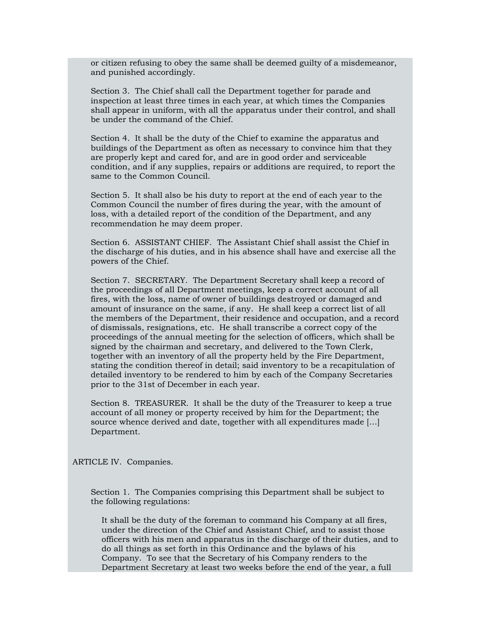or citizen refusing to obey the same shall be deemed guilty of a misdemeanor, and punished accordingly.

Section 3. The Chief shall call the Department together for parade and inspection at least three times in each year, at which times the Companies shall appear in uniform, with all the apparatus under their control, and shall be under the command of the Chief.

Section 4. It shall be the duty of the Chief to examine the apparatus and buildings of the Department as often as necessary to convince him that they are properly kept and cared for, and are in good order and serviceable condition, and if any supplies, repairs or additions are required, to report the same to the Common Council.

Section 5. It shall also be his duty to report at the end of each year to the Common Council the number of fires during the year, with the amount of loss, with a detailed report of the condition of the Department, and any recommendation he may deem proper.

Section 6. ASSISTANT CHIEF. The Assistant Chief shall assist the Chief in the discharge of his duties, and in his absence shall have and exercise all the powers of the Chief.

Section 7. SECRETARY. The Department Secretary shall keep a record of the proceedings of all Department meetings, keep a correct account of all fires, with the loss, name of owner of buildings destroyed or damaged and amount of insurance on the same, if any. He shall keep a correct list of all the members of the Department, their residence and occupation, and a record of dismissals, resignations, etc. He shall transcribe a correct copy of the proceedings of the annual meeting for the selection of officers, which shall be signed by the chairman and secretary, and delivered to the Town Clerk, together with an inventory of all the property held by the Fire Department, stating the condition thereof in detail; said inventory to be a recapitulation of detailed inventory to be rendered to him by each of the Company Secretaries prior to the 31st of December in each year.

Section 8. TREASURER. It shall be the duty of the Treasurer to keep a true account of all money or property received by him for the Department; the source whence derived and date, together with all expenditures made […] Department.

ARTICLE IV. Companies.

Section 1. The Companies comprising this Department shall be subject to the following regulations:

It shall be the duty of the foreman to command his Company at all fires, under the direction of the Chief and Assistant Chief, and to assist those officers with his men and apparatus in the discharge of their duties, and to do all things as set forth in this Ordinance and the bylaws of his Company. To see that the Secretary of his Company renders to the Department Secretary at least two weeks before the end of the year, a full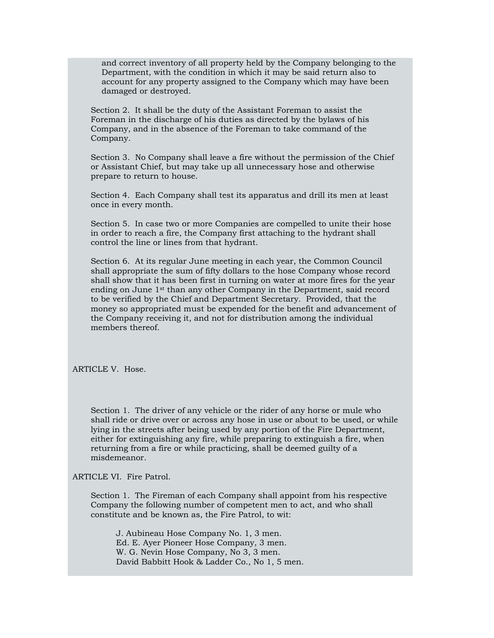and correct inventory of all property held by the Company belonging to the Department, with the condition in which it may be said return also to account for any property assigned to the Company which may have been damaged or destroyed.

Section 2. It shall be the duty of the Assistant Foreman to assist the Foreman in the discharge of his duties as directed by the bylaws of his Company, and in the absence of the Foreman to take command of the Company.

Section 3. No Company shall leave a fire without the permission of the Chief or Assistant Chief, but may take up all unnecessary hose and otherwise prepare to return to house.

Section 4. Each Company shall test its apparatus and drill its men at least once in every month.

Section 5. In case two or more Companies are compelled to unite their hose in order to reach a fire, the Company first attaching to the hydrant shall control the line or lines from that hydrant.

Section 6. At its regular June meeting in each year, the Common Council shall appropriate the sum of fifty dollars to the hose Company whose record shall show that it has been first in turning on water at more fires for the year ending on June 1st than any other Company in the Department, said record to be verified by the Chief and Department Secretary. Provided, that the money so appropriated must be expended for the benefit and advancement of the Company receiving it, and not for distribution among the individual members thereof.

ARTICLE V. Hose.

Section 1. The driver of any vehicle or the rider of any horse or mule who shall ride or drive over or across any hose in use or about to be used, or while lying in the streets after being used by any portion of the Fire Department, either for extinguishing any fire, while preparing to extinguish a fire, when returning from a fire or while practicing, shall be deemed guilty of a misdemeanor.

ARTICLE VI. Fire Patrol.

Section 1. The Fireman of each Company shall appoint from his respective Company the following number of competent men to act, and who shall constitute and be known as, the Fire Patrol, to wit:

J. Aubineau Hose Company No. 1, 3 men. Ed. E. Ayer Pioneer Hose Company, 3 men. W. G. Nevin Hose Company, No 3, 3 men. David Babbitt Hook & Ladder Co., No 1, 5 men.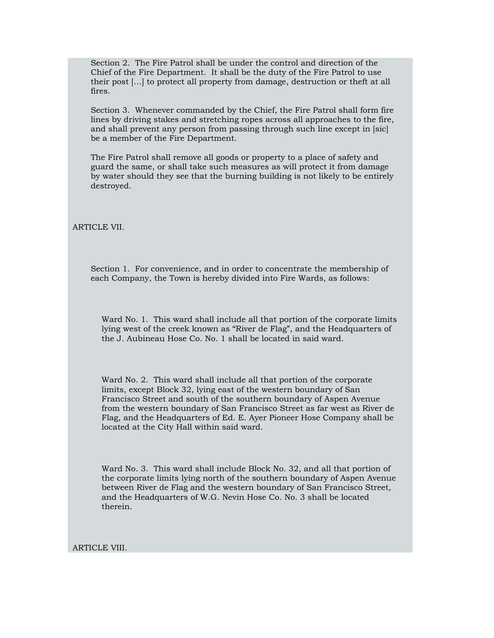Section 2. The Fire Patrol shall be under the control and direction of the Chief of the Fire Department. It shall be the duty of the Fire Patrol to use their post […] to protect all property from damage, destruction or theft at all fires.

Section 3. Whenever commanded by the Chief, the Fire Patrol shall form fire lines by driving stakes and stretching ropes across all approaches to the fire, and shall prevent any person from passing through such line except in [sic] be a member of the Fire Department.

The Fire Patrol shall remove all goods or property to a place of safety and guard the same, or shall take such measures as will protect it from damage by water should they see that the burning building is not likely to be entirely destroyed.

ARTICLE VII.

Section 1. For convenience, and in order to concentrate the membership of each Company, the Town is hereby divided into Fire Wards, as follows:

Ward No. 1. This ward shall include all that portion of the corporate limits lying west of the creek known as "River de Flag", and the Headquarters of the J. Aubineau Hose Co. No. 1 shall be located in said ward.

Ward No. 2. This ward shall include all that portion of the corporate limits, except Block 32, lying east of the western boundary of San Francisco Street and south of the southern boundary of Aspen Avenue from the western boundary of San Francisco Street as far west as River de Flag, and the Headquarters of Ed. E. Ayer Pioneer Hose Company shall be located at the City Hall within said ward.

Ward No. 3. This ward shall include Block No. 32, and all that portion of the corporate limits lying north of the southern boundary of Aspen Avenue between River de Flag and the western boundary of San Francisco Street, and the Headquarters of W.G. Nevin Hose Co. No. 3 shall be located therein.

ARTICLE VIII.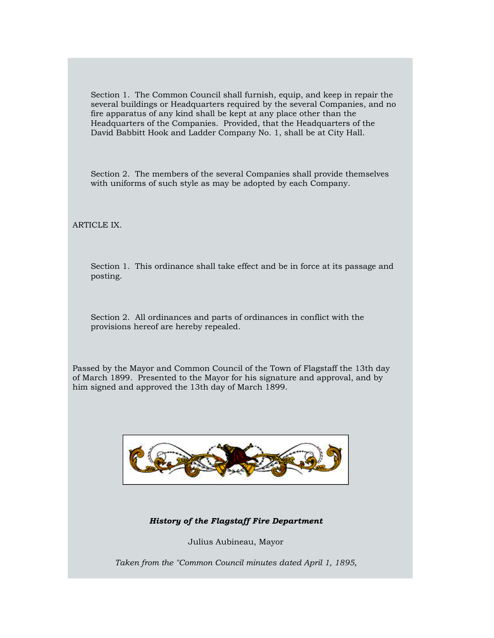Section 1. The Common Council shall furnish, equip, and keep in repair the several buildings or Headquarters required by the several Companies, and no fire apparatus of any kind shall be kept at any place other than the Headquarters of the Companies. Provided, that the Headquarters of the David Babbitt Hook and Ladder Company No. 1, shall be at City Hall.

Section 2. The members of the several Companies shall provide themselves with uniforms of such style as may be adopted by each Company.

ARTICLE IX.

Section 1. This ordinance shall take effect and be in force at its passage and posting.

Section 2. All ordinances and parts of ordinances in conflict with the provisions hereof are hereby repealed.

Passed by the Mayor and Common Council of the Town of Flagstaff the 13th day of March 1899. Presented to the Mayor for his signature and approval, and by him signed and approved the 13th day of March 1899.



*History of the Flagstaff Fire Department*

Julius Aubineau, Mayor

*Taken from the "Common Council minutes dated April 1, 1895,*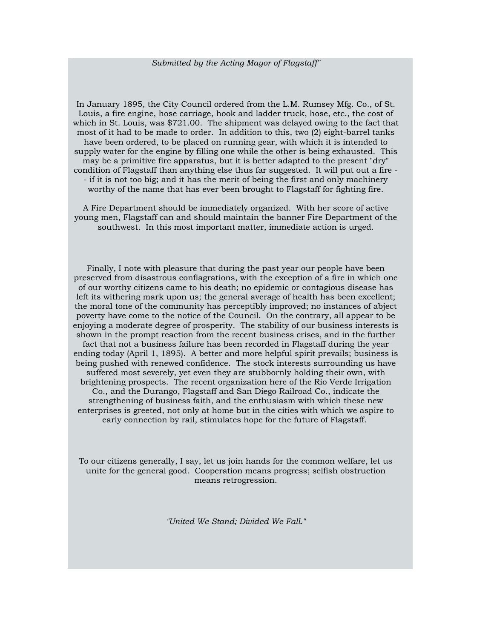#### *Submitted by the Acting Mayor of Flagstaff"*

In January 1895, the City Council ordered from the L.M. Rumsey Mfg. Co., of St. Louis, a fire engine, hose carriage, hook and ladder truck, hose, etc., the cost of which in St. Louis, was \$721.00. The shipment was delayed owing to the fact that most of it had to be made to order. In addition to this, two (2) eight-barrel tanks have been ordered, to be placed on running gear, with which it is intended to supply water for the engine by filling one while the other is being exhausted. This may be a primitive fire apparatus, but it is better adapted to the present "dry" condition of Flagstaff than anything else thus far suggested. It will put out a fire - - if it is not too big; and it has the merit of being the first and only machinery worthy of the name that has ever been brought to Flagstaff for fighting fire.

A Fire Department should be immediately organized. With her score of active young men, Flagstaff can and should maintain the banner Fire Department of the southwest. In this most important matter, immediate action is urged.

Finally, I note with pleasure that during the past year our people have been preserved from disastrous conflagrations, with the exception of a fire in which one of our worthy citizens came to his death; no epidemic or contagious disease has left its withering mark upon us; the general average of health has been excellent; the moral tone of the community has perceptibly improved; no instances of abject poverty have come to the notice of the Council. On the contrary, all appear to be enjoying a moderate degree of prosperity. The stability of our business interests is shown in the prompt reaction from the recent business crises, and in the further fact that not a business failure has been recorded in Flagstaff during the year ending today (April 1, 1895). A better and more helpful spirit prevails; business is being pushed with renewed confidence. The stock interests surrounding us have suffered most severely, yet even they are stubbornly holding their own, with brightening prospects. The recent organization here of the Rio Verde Irrigation Co., and the Durango, Flagstaff and San Diego Railroad Co., indicate the strengthening of business faith, and the enthusiasm with which these new enterprises is greeted, not only at home but in the cities with which we aspire to early connection by rail, stimulates hope for the future of Flagstaff.

To our citizens generally, I say, let us join hands for the common welfare, let us unite for the general good. Cooperation means progress; selfish obstruction means retrogression.

*"United We Stand; Divided We Fall."*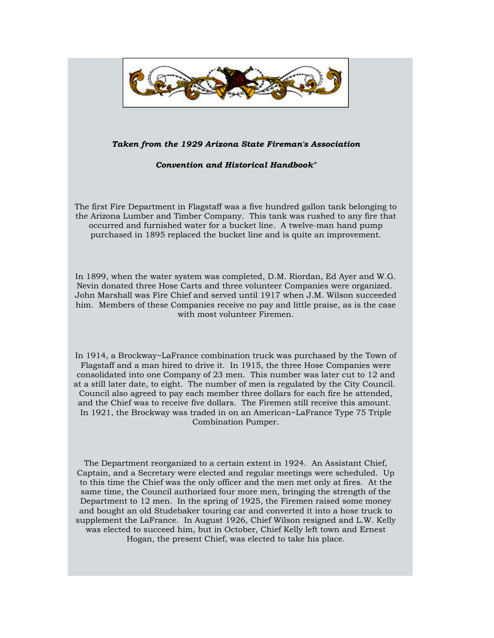

#### *Taken from the 1929 Arizona State Fireman's Association*

*Convention and Historical Handbook"*

The first Fire Department in Flagstaff was a five hundred gallon tank belonging to the Arizona Lumber and Timber Company. This tank was rushed to any fire that occurred and furnished water for a bucket line. A twelve-man hand pump purchased in 1895 replaced the bucket line and is quite an improvement.

In 1899, when the water system was completed, D.M. Riordan, Ed Ayer and W.G. Nevin donated three Hose Carts and three volunteer Companies were organized. John Marshall was Fire Chief and served until 1917 when J.M. Wilson succeeded him. Members of these Companies receive no pay and little praise, as is the case with most volunteer Firemen.

In 1914, a Brockway~LaFrance combination truck was purchased by the Town of Flagstaff and a man hired to drive it. In 1915, the three Hose Companies were consolidated into one Company of 23 men. This number was later cut to 12 and at a still later date, to eight. The number of men is regulated by the City Council. Council also agreed to pay each member three dollars for each fire he attended, and the Chief was to receive five dollars. The Firemen still receive this amount. In 1921, the Brockway was traded in on an American~LaFrance Type 75 Triple Combination Pumper.

The Department reorganized to a certain extent in 1924. An Assistant Chief, Captain, and a Secretary were elected and regular meetings were scheduled. Up to this time the Chief was the only officer and the men met only at fires. At the same time, the Council authorized four more men, bringing the strength of the Department to 12 men. In the spring of 1925, the Firemen raised some money and bought an old Studebaker touring car and converted it into a hose truck to supplement the LaFrance. In August 1926, Chief Wilson resigned and L.W. Kelly was elected to succeed him, but in October, Chief Kelly left town and Ernest Hogan, the present Chief, was elected to take his place.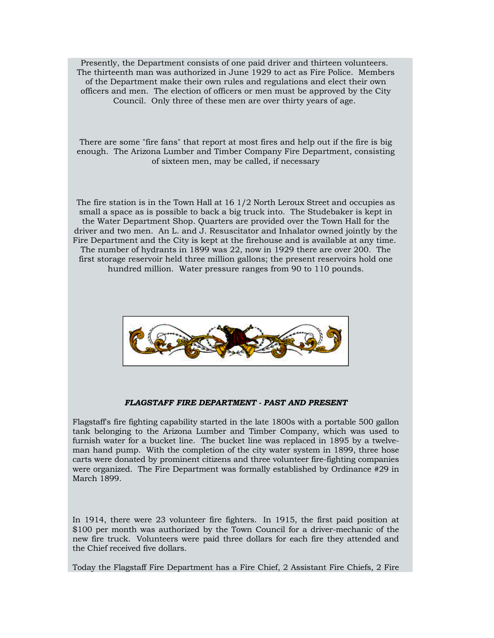Presently, the Department consists of one paid driver and thirteen volunteers. The thirteenth man was authorized in June 1929 to act as Fire Police. Members of the Department make their own rules and regulations and elect their own officers and men. The election of officers or men must be approved by the City Council. Only three of these men are over thirty years of age.

There are some "fire fans" that report at most fires and help out if the fire is big enough. The Arizona Lumber and Timber Company Fire Department, consisting of sixteen men, may be called, if necessary

The fire station is in the Town Hall at 16 1/2 North Leroux Street and occupies as small a space as is possible to back a big truck into. The Studebaker is kept in the Water Department Shop. Quarters are provided over the Town Hall for the driver and two men. An L. and J. Resuscitator and Inhalator owned jointly by the Fire Department and the City is kept at the firehouse and is available at any time. The number of hydrants in 1899 was 22, now in 1929 there are over 200. The first storage reservoir held three million gallons; the present reservoirs hold one hundred million. Water pressure ranges from 90 to 110 pounds.



#### *FLAGSTAFF FIRE DEPARTMENT - PAST AND PRESENT*

Flagstaff's fire fighting capability started in the late 1800s with a portable 500 gallon tank belonging to the Arizona Lumber and Timber Company, which was used to furnish water for a bucket line. The bucket line was replaced in 1895 by a twelveman hand pump. With the completion of the city water system in 1899, three hose carts were donated by prominent citizens and three volunteer fire-fighting companies were organized. The Fire Department was formally established by Ordinance #29 in March 1899.

In 1914, there were 23 volunteer fire fighters. In 1915, the first paid position at \$100 per month was authorized by the Town Council for a driver-mechanic of the new fire truck. Volunteers were paid three dollars for each fire they attended and the Chief received five dollars.

Today the Flagstaff Fire Department has a Fire Chief, 2 Assistant Fire Chiefs, 2 Fire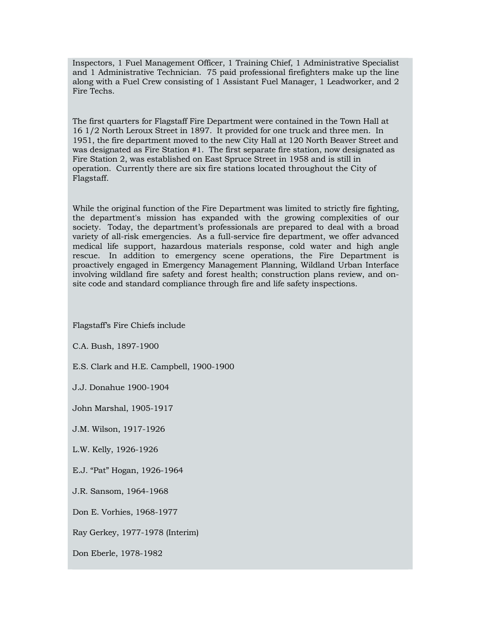Inspectors, 1 Fuel Management Officer, 1 Training Chief, 1 Administrative Specialist and 1 Administrative Technician. 75 paid professional firefighters make up the line along with a Fuel Crew consisting of 1 Assistant Fuel Manager, 1 Leadworker, and 2 Fire Techs.

The first quarters for Flagstaff Fire Department were contained in the Town Hall at 16 1/2 North Leroux Street in 1897. It provided for one truck and three men. In 1951, the fire department moved to the new City Hall at 120 North Beaver Street and was designated as Fire Station #1. The first separate fire station, now designated as Fire Station 2, was established on East Spruce Street in 1958 and is still in operation. Currently there are six fire stations located throughout the City of Flagstaff.

While the original function of the Fire Department was limited to strictly fire fighting, the department's mission has expanded with the growing complexities of our society. Today, the department's professionals are prepared to deal with a broad variety of all-risk emergencies. As a full-service fire department, we offer advanced medical life support, hazardous materials response, cold water and high angle rescue. In addition to emergency scene operations, the Fire Department is proactively engaged in Emergency Management Planning, Wildland Urban Interface involving wildland fire safety and forest health; construction plans review, and onsite code and standard compliance through fire and life safety inspections.

Flagstaff's Fire Chiefs include

C.A. Bush, 1897-1900

E.S. Clark and H.E. Campbell, 1900-1900

J.J. Donahue 1900-1904

John Marshal, 1905-1917

J.M. Wilson, 1917-1926

L.W. Kelly, 1926-1926

E.J. "Pat" Hogan, 1926-1964

J.R. Sansom, 1964-1968

Don E. Vorhies, 1968-1977

Ray Gerkey, 1977-1978 (Interim)

Don Eberle, 1978-1982